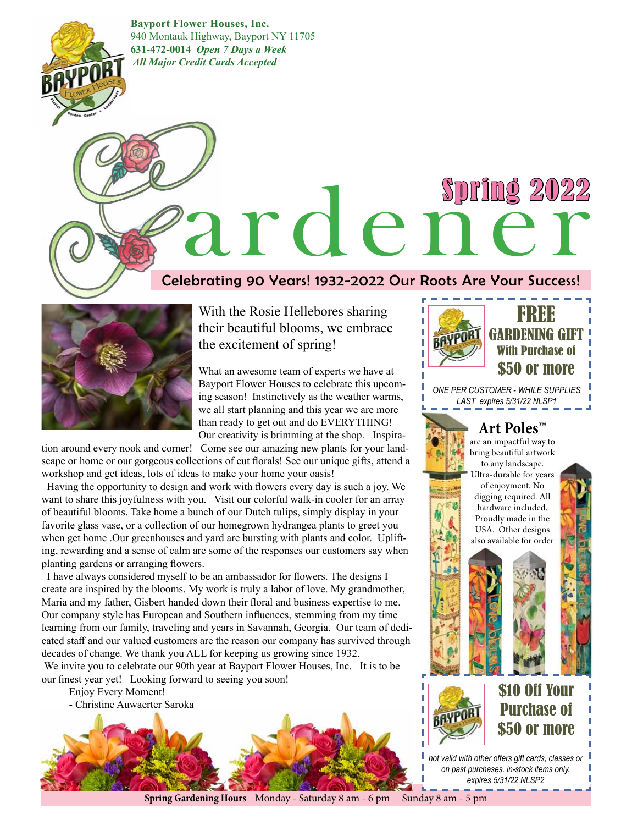**Bayport Flower Houses, Inc.** 940 Montauk Highway, Bayport NY 11705 **631-472-0014** *Open 7 Days a Week All Major Credit Cards Accepted* 

# Spring 2022 ardener

#### Celebrating 90 Years! 1932-2022 Our Roots Are Your Success!



BAYPOR

With the Rosie Hellebores sharing their beautiful blooms, we embrace the excitement of spring!

What an awesome team of experts we have at Bayport Flower Houses to celebrate this upcoming season! Instinctively as the weather warms, we all start planning and this year we are more than ready to get out and do EVERYTHING! Our creativity is brimming at the shop. Inspira-

tion around every nook and corner! Come see our amazing new plants for your landscape or home or our gorgeous collections of cut florals! See our unique gifts, attend a workshop and get ideas, lots of ideas to make your home your oasis!

 Having the opportunity to design and work with flowers every day is such a joy. We want to share this joyfulness with you. Visit our colorful walk-in cooler for an array of beautiful blooms. Take home a bunch of our Dutch tulips, simply display in your favorite glass vase, or a collection of our homegrown hydrangea plants to greet you when get home .Our greenhouses and yard are bursting with plants and color. Uplifting, rewarding and a sense of calm are some of the responses our customers say when planting gardens or arranging flowers.

 I have always considered myself to be an ambassador for flowers. The designs I create are inspired by the blooms. My work is truly a labor of love. My grandmother, Maria and my father, Gisbert handed down their floral and business expertise to me. Our company style has European and Southern influences, stemming from my time learning from our family, traveling and years in Savannah, Georgia. Our team of dedicated staff and our valued customers are the reason our company has survived through decades of change. We thank you ALL for keeping us growing since 1932. We invite you to celebrate our 90th year at Bayport Flower Houses, Inc. It is to be our finest year yet! Looking forward to seeing you soon!

Enjoy Every Moment! - Christine Auwaerter Saroka



**FARE** GARDENING GIFT With Purchase of \$50 or more

*ONE PER CUSTOMER - WHILE SUPPLIES LAST expires 5/31/22 NLSP1*

#### **Art Poles™**

are an impactful way to bring beautiful artwork to any landscape. Ultra-durable for years of enjoyment. No digging required. All hardware included. Proudly made in the USA. Other designs also available for order



\$10 Off Your Purchase of \$50 or more

*not valid with other offers gift cards, classes or on past purchases. in-stock items only. expires 5/31/22 NLSP2*

**Spring Gardening Hours** Monday - Saturday 8 am - 6 pm Sunday 8 am - 5 pm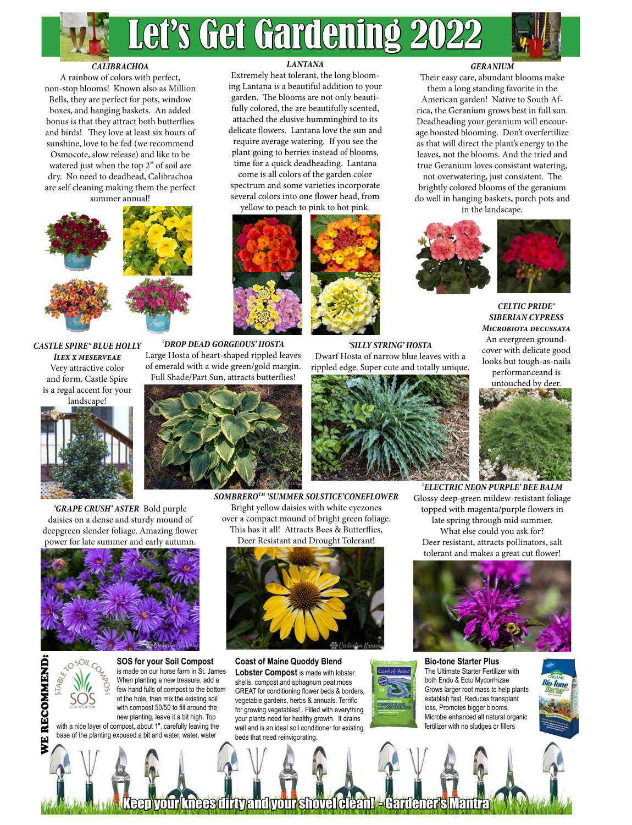



#### *CALIBRACHOA*

A rainbow of colors with perfect, non-stop blooms! Known also as Million Bells, they are perfect for pots, window boxes, and hanging baskets. An added bonus is that they attract both butterflies and birds! They love at least six hours of sunshine, love to be fed (we recommend Osmocote, slow release) and like to be watered just when the top 2" of soil are dry. No need to deadhead, Calibrachoa are self cleaning making them the perfect summer annual!



*Castle Spire® Blue Holly Ilex x meserveae*  Very attractive color and form. Castle Spire is a regal accent for your landscape!



*'GRAPE CRUSH' ASTER* Bold purple daisies on a dense and sturdy mound of deepgreen slender foliage. Amazing flower power for late summer and early autumn.





WE RECOMMEND:

WE RECOMN

**END** 

**SOS for your Soil Compost** is made on our horse farm in St. James When planting a new treasure, add a few hand fulls of compost to the bottom of the hole, then mix the existing soil with compost 50/50 to fill around the new planting, leave it a bit high. Top with a nice layer of compost, about 1″, carefully leaving the base of the planting exposed a bit and water, water, water

*LANTANA*

Extremely heat tolerant, the long blooming Lantana is a beautiful addition to your garden. The blooms are not only beautifully colored, the are beautifully scented, attached the elusive hummingbird to its delicate flowers. Lantana love the sun and require average watering. If you see the plant going to berries instead of blooms, time for a quick deadheading. Lantana

come is all colors of the garden color spectrum and some varieties incorporate several colors into one flower head, from

yellow to peach to pink to hot pink.





*'SILLY STRING' HOSTA*  Dwarf Hosta of narrow blue leaves with a rippled edge. Super cute and totally unique.



*SOMBREROTM 'SUMMER SOLSTICE'CONEFLOWER*  Bright yellow daisies with white eyezones over a compact mound of bright green foliage. This has it all! Attracts Bees & Butterflies,



**Coast of Maine Quoddy Blend Lobster Compost** is made with lobster shells, compost and sphagnum peat moss GREAT for conditioning flower beds & borders, vegetable gardens, herbs & annuals. Terrific for growing vegetables! . Filled with everything your plants need for healthy growth. It drains well and is an ideal soil conditioner for existing beds that need reinvigorating.

#### *GERANIUM*

Their easy care, abundant blooms make them a long standing favorite in the

American garden! Native to South Africa, the Geranium grows best in full sun. Deadheading your geranium will encourage boosted blooming. Don't overfertilize as that will direct the plant's energy to the leaves, not the blooms. And the tried and true Geranium loves consistant watering,

not overwatering, just consistent. The brightly colored blooms of the geranium do well in hanging baskets, porch pots and in the landscape.





*Celtic Pride® Siberian Cypress Microbiota decussata*  An evergreen groundcover with delicate good looks but tough-as-nails performanceand is

untouched by deer.



'*ELECTRIC NEON PURPLE' BEE BALM* Glossy deep-green mildew-resistant foliage topped with magenta/purple flowers in late spring through mid summer. What else could you ask for? Deer resistant, attracts pollinators, salt tolerant and makes a great cut flower!



**Bio-tone Starter Plus** The Ultimate Starter Fertilizer with both Endo & Ecto Mycorrhizae Grows larger root mass to help plants establish fast, Reduces transplant loss, Promotes bigger blooms, Microbe enhanced all natural organic fertilizer with no sludges or fillers



Keep your knees dirty and your shovel clean! - Gardener's Mantra



'*DROP DEAD GORGEOUS' HOSTA* Large Hosta of heart-shaped rippled leaves



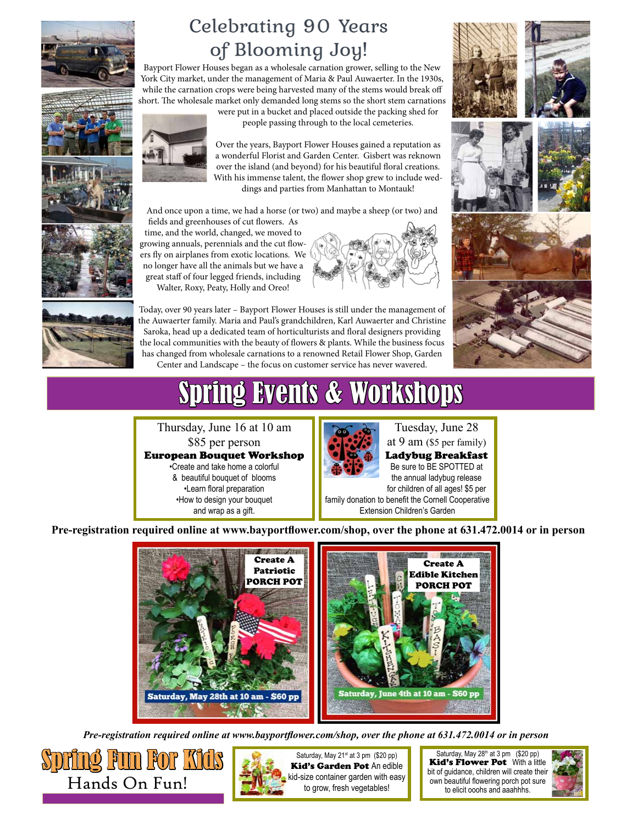

### Celebrating 90 Years of Blooming Joy!

Bayport Flower Houses began as a wholesale carnation grower, selling to the New York City market, under the management of Maria & Paul Auwaerter. In the 1930s, while the carnation crops were being harvested many of the stems would break off short. The wholesale market only demanded long stems so the short stem carnations

And once upon a time, we had a horse (or two) and maybe a sheep (or two) and

were put in a bucket and placed outside the packing shed for people passing through to the local cemeteries.

Over the years, Bayport Flower Houses gained a reputation as a wonderful Florist and Garden Center. Gisbert was reknown over the island (and beyond) for his beautiful floral creations. With his immense talent, the flower shop grew to include weddings and parties from Manhattan to Montauk!









time, and the world, changed, we moved to growing annuals, perennials and the cut flowers fly on airplanes from exotic locations. We no longer have all the animals but we have a great staff of four legged friends, including Walter, Roxy, Peaty, Holly and Oreo!

fields and greenhouses of cut flowers. As

Today, over 90 years later – Bayport Flower Houses is still under the management of the Auwaerter family. Maria and Paul's grandchildren, Karl Auwaerter and Christine Saroka, head up a dedicated team of horticulturists and floral designers providing the local communities with the beauty of flowers & plants. While the business focus has changed from wholesale carnations to a renowned Retail Flower Shop, Garden Center and Landscape – the focus on customer service has never wavered.

## Spring Events & Workshops

Thursday, June 16 at 10 am \$85 per person European Bouquet Workshop •Create and take home a colorful & beautiful bouquet of blooms •Learn floral preparation •How to design your bouquet and wrap as a gift.



### Tuesday, June 28

at 9 am (\$5 per family) Ladybug Breakfast Be sure to BE SPOTTED at the annual ladybug release for children of all ages! \$5 per family donation to benefit the Cornell Cooperative

Extension Children's Garden

**Pre-registration required online at www.bayportflower.com/shop, over the phone at 631.472.0014 or in person**



*Pre-registration required online at www.bayportflower.com/shop, over the phone at 631.472.0014 or in person*





kid-size container garden with easy to grow, fresh vegetables!

Saturday, May  $28<sup>th</sup>$  at 3 pm (\$20 pp) Kid's Flower Pot With a little bit of guidance, children will create their own beautiful flowering porch pot sure to elicit ooohs and aaahhhs.